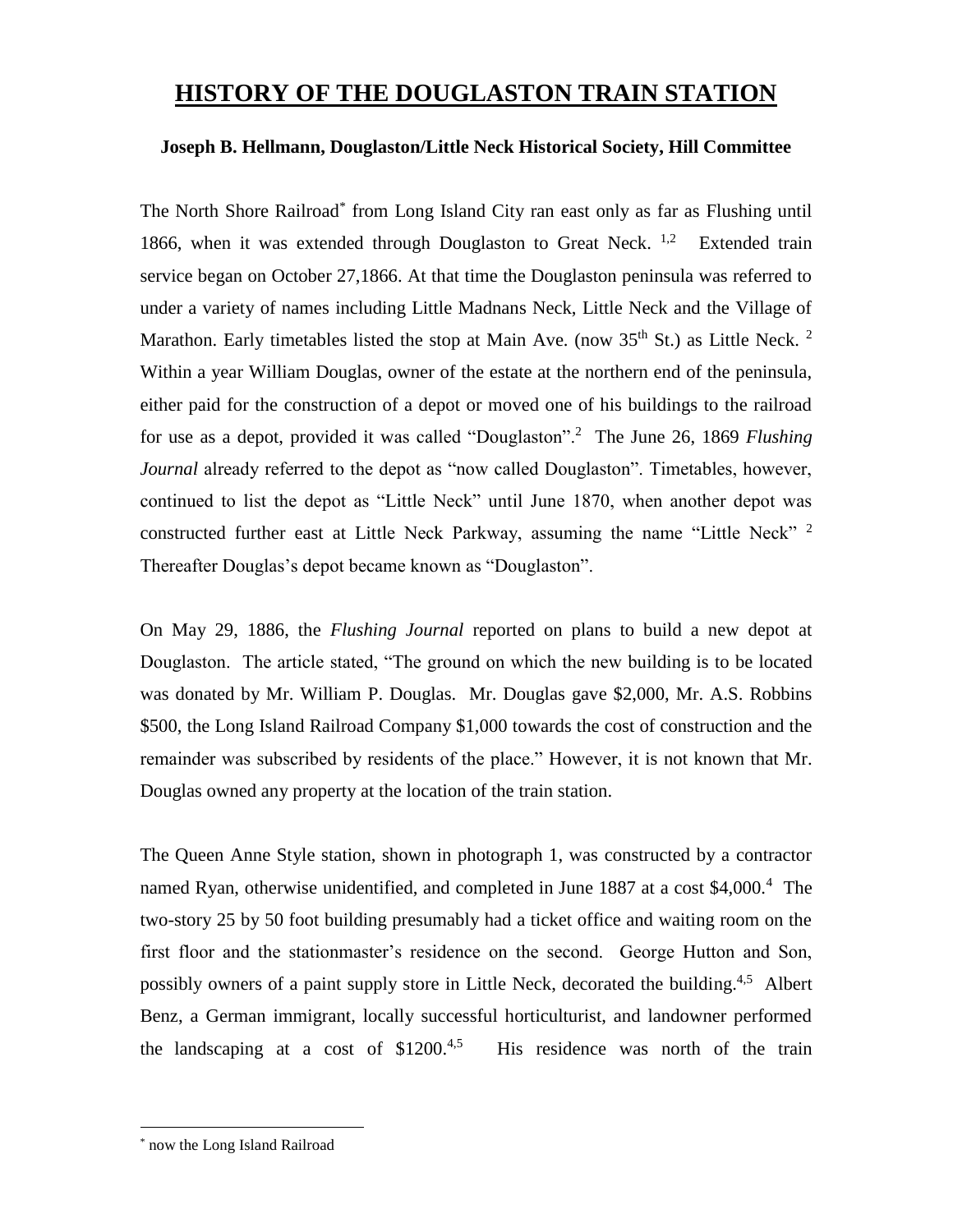## **HISTORY OF THE DOUGLASTON TRAIN STATION**

## **Joseph B. Hellmann, Douglaston/Little Neck Historical Society, Hill Committee**

The North Shore Railroad<sup>\*</sup> from Long Island City ran east only as far as Flushing until 1866, when it was extended through Douglaston to Great Neck.  $1,2$  Extended train service began on October 27,1866. At that time the Douglaston peninsula was referred to under a variety of names including Little Madnans Neck, Little Neck and the Village of Marathon. Early timetables listed the stop at Main Ave. (now  $35<sup>th</sup>$  St.) as Little Neck. <sup>2</sup> Within a year William Douglas, owner of the estate at the northern end of the peninsula, either paid for the construction of a depot or moved one of his buildings to the railroad for use as a depot, provided it was called "Douglaston".<sup>2</sup> The June 26, 1869 *Flushing Journal* already referred to the depot as "now called Douglaston". Timetables, however, continued to list the depot as "Little Neck" until June 1870, when another depot was constructed further east at Little Neck Parkway, assuming the name "Little Neck"  $^2$ Thereafter Douglas's depot became known as "Douglaston".

On May 29, 1886, the *Flushing Journal* reported on plans to build a new depot at Douglaston. The article stated, "The ground on which the new building is to be located was donated by Mr. William P. Douglas. Mr. Douglas gave \$2,000, Mr. A.S. Robbins \$500, the Long Island Railroad Company \$1,000 towards the cost of construction and the remainder was subscribed by residents of the place." However, it is not known that Mr. Douglas owned any property at the location of the train station.

The Queen Anne Style station, shown in photograph 1, was constructed by a contractor named Ryan, otherwise unidentified, and completed in June 1887 at a cost \$4,000.<sup>4</sup> The two-story 25 by 50 foot building presumably had a ticket office and waiting room on the first floor and the stationmaster's residence on the second. George Hutton and Son, possibly owners of a paint supply store in Little Neck, decorated the building.<sup>4,5</sup> Albert Benz, a German immigrant, locally successful horticulturist, and landowner performed the landscaping at a cost of  $$1200.<sup>4,5</sup>$  His residence was north of the train

 $\overline{a}$ 

now the Long Island Railroad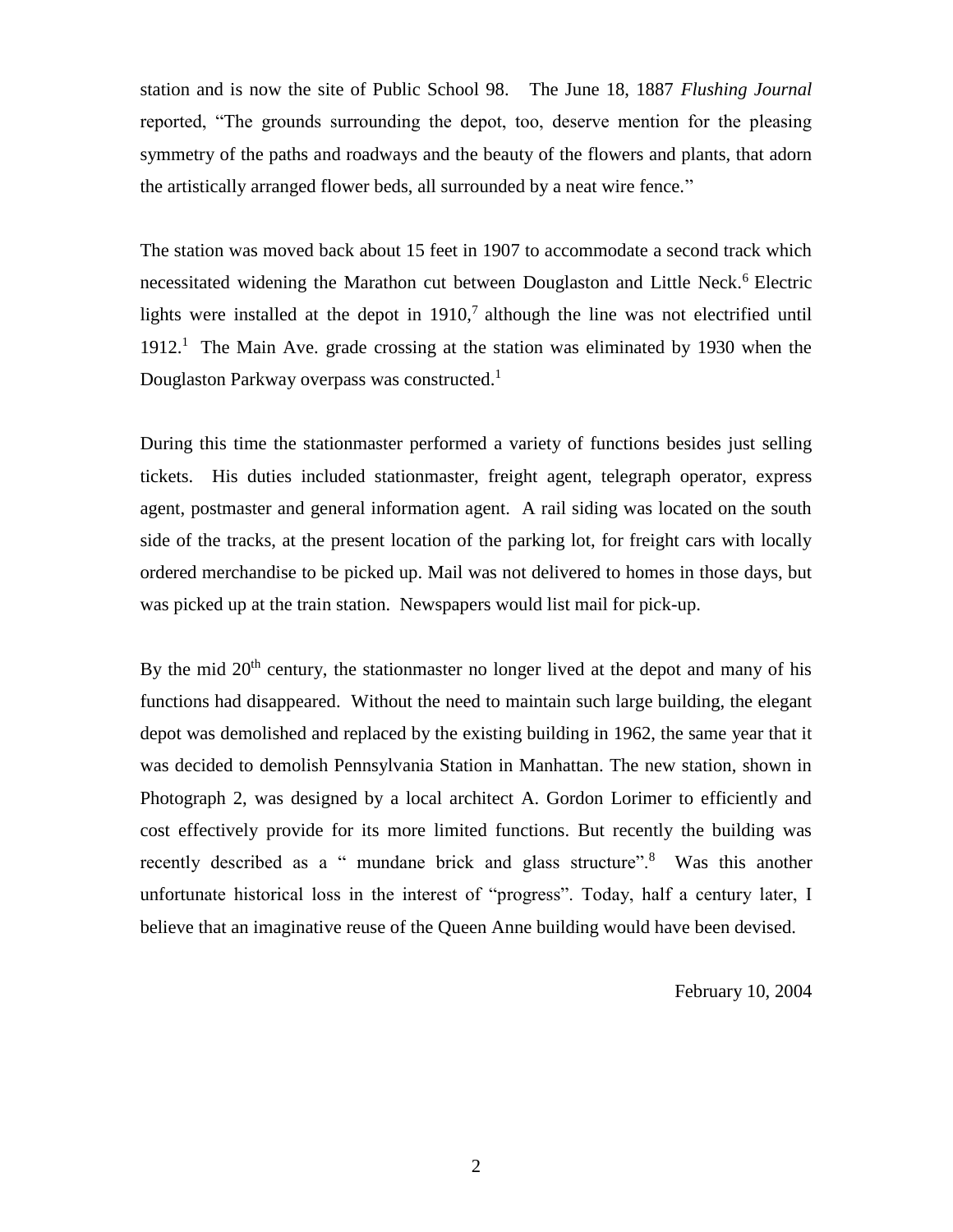station and is now the site of Public School 98. The June 18, 1887 *Flushing Journal* reported, "The grounds surrounding the depot, too, deserve mention for the pleasing symmetry of the paths and roadways and the beauty of the flowers and plants, that adorn the artistically arranged flower beds, all surrounded by a neat wire fence."

The station was moved back about 15 feet in 1907 to accommodate a second track which necessitated widening the Marathon cut between Douglaston and Little Neck.<sup>6</sup> Electric lights were installed at the depot in  $1910<sup>7</sup>$  although the line was not electrified until 1912.<sup>1</sup> The Main Ave. grade crossing at the station was eliminated by 1930 when the Douglaston Parkway overpass was constructed.<sup>1</sup>

During this time the stationmaster performed a variety of functions besides just selling tickets. His duties included stationmaster, freight agent, telegraph operator, express agent, postmaster and general information agent. A rail siding was located on the south side of the tracks, at the present location of the parking lot, for freight cars with locally ordered merchandise to be picked up. Mail was not delivered to homes in those days, but was picked up at the train station. Newspapers would list mail for pick-up.

By the mid  $20<sup>th</sup>$  century, the stationmaster no longer lived at the depot and many of his functions had disappeared. Without the need to maintain such large building, the elegant depot was demolished and replaced by the existing building in 1962, the same year that it was decided to demolish Pennsylvania Station in Manhattan. The new station, shown in Photograph 2, was designed by a local architect A. Gordon Lorimer to efficiently and cost effectively provide for its more limited functions. But recently the building was recently described as a " mundane brick and glass structure".<sup>8</sup> Was this another unfortunate historical loss in the interest of "progress". Today, half a century later, I believe that an imaginative reuse of the Queen Anne building would have been devised.

February 10, 2004